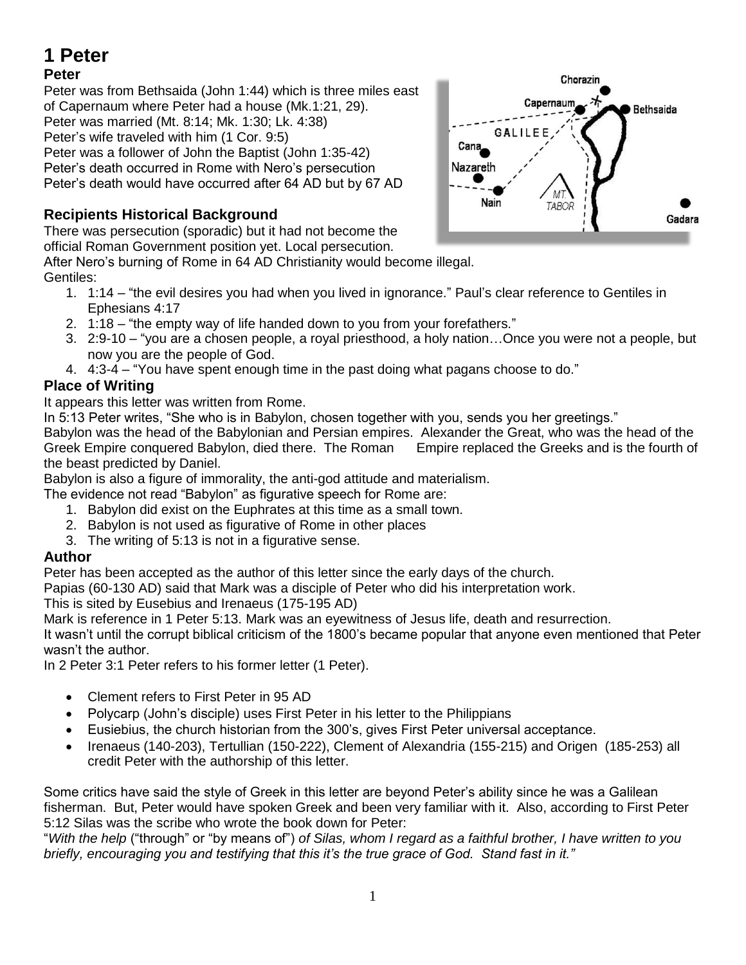# **1 Peter**

## **Peter**

Peter was from Bethsaida (John 1:44) which is three miles east of Capernaum where Peter had a house (Mk.1:21, 29). Peter was married (Mt. 8:14; Mk. 1:30; Lk. 4:38) Peter's wife traveled with him (1 Cor. 9:5) Peter was a follower of John the Baptist (John 1:35-42) Peter's death occurred in Rome with Nero's persecution Peter's death would have occurred after 64 AD but by 67 AD

## **Recipients Historical Background**

There was persecution (sporadic) but it had not become the official Roman Government position yet. Local persecution.

After Nero's burning of Rome in 64 AD Christianity would become illegal. Gentiles:

- 1. 1:14 "the evil desires you had when you lived in ignorance." Paul's clear reference to Gentiles in Ephesians 4:17
- 2. 1:18 "the empty way of life handed down to you from your forefathers."
- 3. 2:9-10 "you are a chosen people, a royal priesthood, a holy nation…Once you were not a people, but now you are the people of God.
- 4. 4:3-4 "You have spent enough time in the past doing what pagans choose to do."

## **Place of Writing**

It appears this letter was written from Rome.

In 5:13 Peter writes, "She who is in Babylon, chosen together with you, sends you her greetings."

Babylon was the head of the Babylonian and Persian empires. Alexander the Great, who was the head of the Greek Empire conquered Babylon, died there. The Roman Empire replaced the Greeks and is the fourth of the beast predicted by Daniel.

Babylon is also a figure of immorality, the anti-god attitude and materialism.

The evidence not read "Babylon" as figurative speech for Rome are:

- 1. Babylon did exist on the Euphrates at this time as a small town.
- 2. Babylon is not used as figurative of Rome in other places
- 3. The writing of 5:13 is not in a figurative sense.

### **Author**

Peter has been accepted as the author of this letter since the early days of the church.

Papias (60-130 AD) said that Mark was a disciple of Peter who did his interpretation work.

This is sited by Eusebius and Irenaeus (175-195 AD)

Mark is reference in 1 Peter 5:13. Mark was an eyewitness of Jesus life, death and resurrection.

It wasn't until the corrupt biblical criticism of the 1800's became popular that anyone even mentioned that Peter wasn't the author.

In 2 Peter 3:1 Peter refers to his former letter (1 Peter).

- Clement refers to First Peter in 95 AD
- Polycarp (John's disciple) uses First Peter in his letter to the Philippians
- Eusiebius, the church historian from the 300's, gives First Peter universal acceptance.
- Irenaeus (140-203), Tertullian (150-222), Clement of Alexandria (155-215) and Origen (185-253) all credit Peter with the authorship of this letter.

Some critics have said the style of Greek in this letter are beyond Peter's ability since he was a Galilean fisherman. But, Peter would have spoken Greek and been very familiar with it. Also, according to First Peter 5:12 Silas was the scribe who wrote the book down for Peter:

"*With the help* ("through" or "by means of") *of Silas, whom I regard as a faithful brother, I have written to you briefly, encouraging you and testifying that this it's the true grace of God. Stand fast in it."*